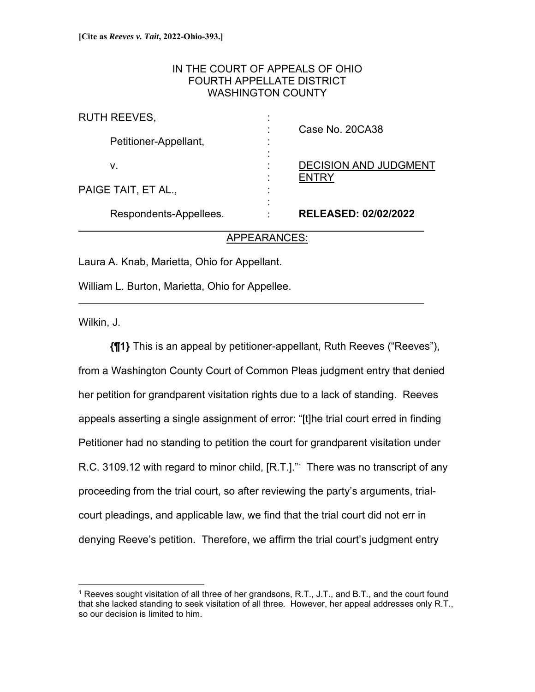## IN THE COURT OF APPEALS OF OHIO FOURTH APPELLATE DISTRICT WASHINGTON COUNTY

| Respondents-Appellees. |   | <b>RELEASED: 02/02/2022</b>           |
|------------------------|---|---------------------------------------|
| PAIGE TAIT, ET AL.,    | ٠ |                                       |
| v.                     | ٠ | <b>DECISION AND JUDGMENT</b><br>ENTRY |
| Petitioner-Appellant,  | ٠ |                                       |
| <b>RUTH REEVES,</b>    | ٠ | Case No. 20CA38                       |

## APPEARANCES:

Laura A. Knab, Marietta, Ohio for Appellant.

William L. Burton, Marietta, Ohio for Appellee.

Wilkin, J.

 $\overline{a}$ 

**{¶1}** This is an appeal by petitioner-appellant, Ruth Reeves ("Reeves"), from a Washington County Court of Common Pleas judgment entry that denied her petition for grandparent visitation rights due to a lack of standing. Reeves appeals asserting a single assignment of error: "[t]he trial court erred in finding Petitioner had no standing to petition the court for grandparent visitation under R.C. 3109.12 with regard to minor child, [R.T.]."<sup>1</sup> There was no transcript of any proceeding from the trial court, so after reviewing the party's arguments, trialcourt pleadings, and applicable law, we find that the trial court did not err in denying Reeve's petition. Therefore, we affirm the trial court's judgment entry

<sup>&</sup>lt;sup>1</sup> Reeves sought visitation of all three of her grandsons, R.T., J.T., and B.T., and the court found that she lacked standing to seek visitation of all three. However, her appeal addresses only R.T., so our decision is limited to him.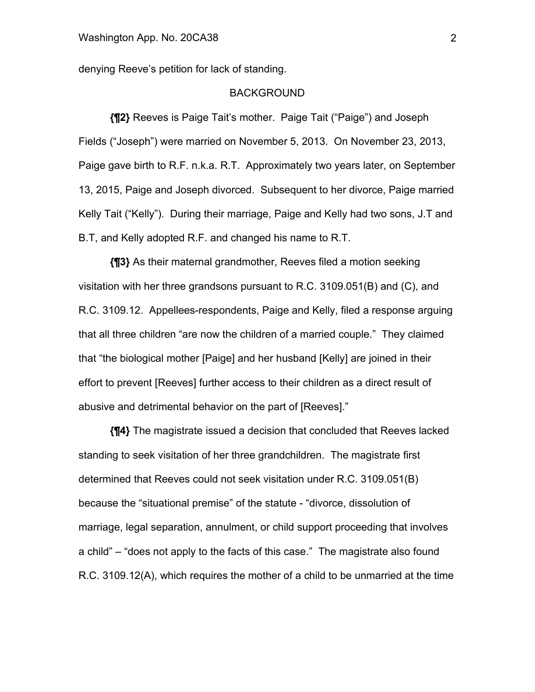denying Reeve's petition for lack of standing.

### BACKGROUND

**{¶2}** Reeves is Paige Tait's mother. Paige Tait ("Paige") and Joseph Fields ("Joseph") were married on November 5, 2013. On November 23, 2013, Paige gave birth to R.F. n.k.a. R.T. Approximately two years later, on September 13, 2015, Paige and Joseph divorced. Subsequent to her divorce, Paige married Kelly Tait ("Kelly"). During their marriage, Paige and Kelly had two sons, J.T and B.T, and Kelly adopted R.F. and changed his name to R.T.

**{¶3}** As their maternal grandmother, Reeves filed a motion seeking visitation with her three grandsons pursuant to R.C. 3109.051(B) and (C), and R.C. 3109.12. Appellees-respondents, Paige and Kelly, filed a response arguing that all three children "are now the children of a married couple." They claimed that "the biological mother [Paige] and her husband [Kelly] are joined in their effort to prevent [Reeves] further access to their children as a direct result of abusive and detrimental behavior on the part of [Reeves]."

**{¶4}** The magistrate issued a decision that concluded that Reeves lacked standing to seek visitation of her three grandchildren. The magistrate first determined that Reeves could not seek visitation under R.C. 3109.051(B) because the "situational premise" of the statute - "divorce, dissolution of marriage, legal separation, annulment, or child support proceeding that involves a child" – "does not apply to the facts of this case." The magistrate also found R.C. 3109.12(A), which requires the mother of a child to be unmarried at the time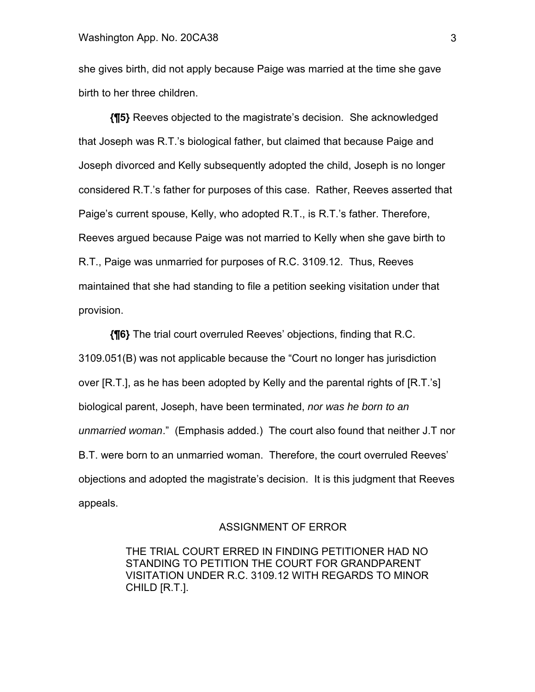she gives birth, did not apply because Paige was married at the time she gave birth to her three children.

**{¶5}** Reeves objected to the magistrate's decision. She acknowledged that Joseph was R.T.'s biological father, but claimed that because Paige and Joseph divorced and Kelly subsequently adopted the child, Joseph is no longer considered R.T.'s father for purposes of this case. Rather, Reeves asserted that Paige's current spouse, Kelly, who adopted R.T., is R.T.'s father. Therefore, Reeves argued because Paige was not married to Kelly when she gave birth to R.T., Paige was unmarried for purposes of R.C. 3109.12. Thus, Reeves maintained that she had standing to file a petition seeking visitation under that provision.

**{¶6}** The trial court overruled Reeves' objections, finding that R.C. 3109.051(B) was not applicable because the "Court no longer has jurisdiction over [R.T.], as he has been adopted by Kelly and the parental rights of [R.T.'s] biological parent, Joseph, have been terminated, *nor was he born to an unmarried woman*." (Emphasis added.) The court also found that neither J.T nor B.T. were born to an unmarried woman. Therefore, the court overruled Reeves' objections and adopted the magistrate's decision. It is this judgment that Reeves appeals.

#### ASSIGNMENT OF ERROR

THE TRIAL COURT ERRED IN FINDING PETITIONER HAD NO STANDING TO PETITION THE COURT FOR GRANDPARENT VISITATION UNDER R.C. 3109.12 WITH REGARDS TO MINOR CHILD [R.T.].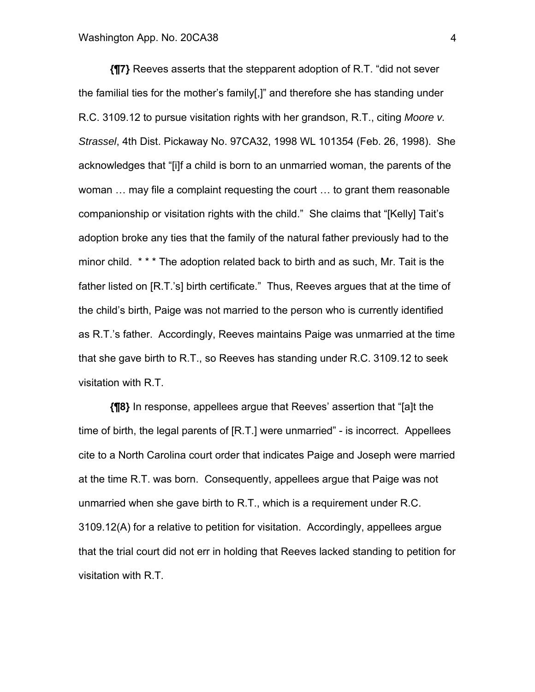**{¶7}** Reeves asserts that the stepparent adoption of R.T. "did not sever the familial ties for the mother's family[,]" and therefore she has standing under R.C. 3109.12 to pursue visitation rights with her grandson, R.T., citing *Moore v. Strassel*, 4th Dist. Pickaway No. 97CA32, 1998 WL 101354 (Feb. 26, 1998). She acknowledges that "[i]f a child is born to an unmarried woman, the parents of the woman … may file a complaint requesting the court … to grant them reasonable companionship or visitation rights with the child." She claims that "[Kelly] Tait's adoption broke any ties that the family of the natural father previously had to the minor child. \* \* \* The adoption related back to birth and as such, Mr. Tait is the father listed on [R.T.'s] birth certificate." Thus, Reeves argues that at the time of the child's birth, Paige was not married to the person who is currently identified as R.T.'s father. Accordingly, Reeves maintains Paige was unmarried at the time that she gave birth to R.T., so Reeves has standing under R.C. 3109.12 to seek visitation with R.T.

**{¶8}** In response, appellees argue that Reeves' assertion that "[a]t the time of birth, the legal parents of [R.T.] were unmarried" - is incorrect. Appellees cite to a North Carolina court order that indicates Paige and Joseph were married at the time R.T. was born. Consequently, appellees argue that Paige was not unmarried when she gave birth to R.T., which is a requirement under R.C. 3109.12(A) for a relative to petition for visitation. Accordingly, appellees argue that the trial court did not err in holding that Reeves lacked standing to petition for visitation with R.T.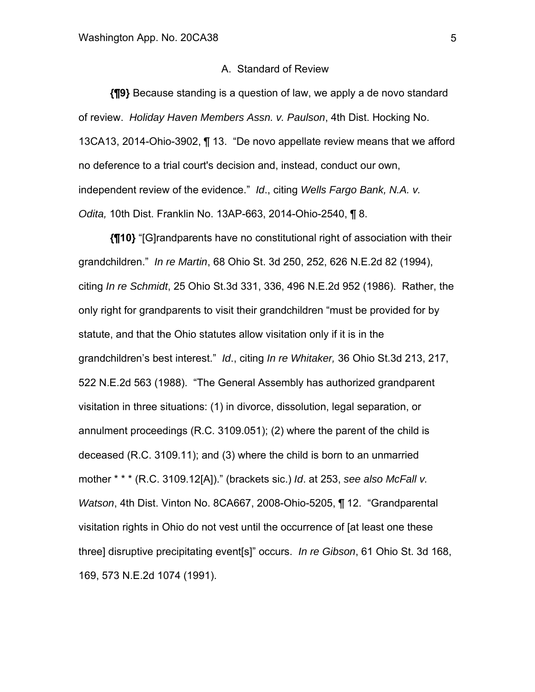#### A. Standard of Review

**{¶9}** Because standing is a question of law, we apply a de novo standard of review. *Holiday Haven Members Assn. v. Paulson*, 4th Dist. Hocking No. 13CA13, 2014-Ohio-3902, ¶ 13. "De novo appellate review means that we afford no deference to a trial court's decision and, instead, conduct our own, independent review of the evidence." *Id*., citing *Wells Fargo Bank, N.A. v. Odita,* 10th Dist. Franklin No. 13AP-663, 2014-Ohio-2540, ¶ 8.

 **{¶10}** "[G]randparents have no constitutional right of association with their grandchildren." *In re Martin*, 68 Ohio St. 3d 250, 252, 626 N.E.2d 82 (1994), citing *In re Schmidt*, 25 Ohio St.3d 331, 336, 496 N.E.2d 952 (1986). Rather, the only right for grandparents to visit their grandchildren "must be provided for by statute, and that the Ohio statutes allow visitation only if it is in the grandchildren's best interest." *Id*., citing *In re Whitaker,* 36 Ohio St.3d 213, 217, 522 N.E.2d 563 (1988). "The General Assembly has authorized grandparent visitation in three situations: (1) in divorce, dissolution, legal separation, or annulment proceedings (R.C. 3109.051); (2) where the parent of the child is deceased (R.C. 3109.11); and (3) where the child is born to an unmarried mother \* \* \* (R.C. 3109.12[A])." (brackets sic.) *Id*. at 253, *see also McFall v. Watson*, 4th Dist. Vinton No. 8CA667, 2008-Ohio-5205, ¶ 12. "Grandparental visitation rights in Ohio do not vest until the occurrence of [at least one these three] disruptive precipitating event[s]" occurs. *In re Gibson*, 61 Ohio St. 3d 168, 169, 573 N.E.2d 1074 (1991).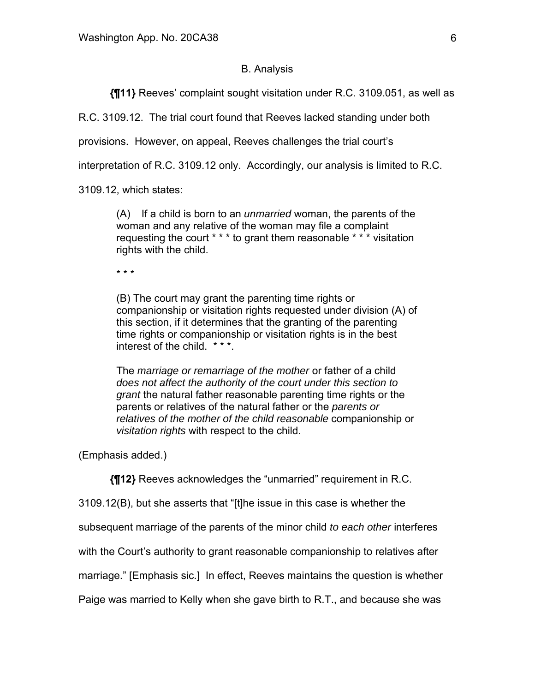## B. Analysis

 **{¶11}** Reeves' complaint sought visitation under R.C. 3109.051, as well as

R.C. 3109.12. The trial court found that Reeves lacked standing under both

provisions. However, on appeal, Reeves challenges the trial court's

interpretation of R.C. 3109.12 only. Accordingly, our analysis is limited to R.C.

3109.12, which states:

(A) If a child is born to an *unmarried* woman, the parents of the woman and any relative of the woman may file a complaint requesting the court \* \* \* to grant them reasonable \* \* \* visitation rights with the child.

\* \* \*

(B) The court may grant the parenting time rights or companionship or visitation rights requested under division (A) of this section, if it determines that the granting of the parenting time rights or companionship or visitation rights is in the best interest of the child. \*\*\*.

The *marriage or remarriage of the mother* or father of a child *does not affect the authority of the court under this section to grant* the natural father reasonable parenting time rights or the parents or relatives of the natural father or the *parents or relatives of the mother of the child reasonable* companionship or *visitation rights* with respect to the child.

(Emphasis added.)

**{¶12}** Reeves acknowledges the "unmarried" requirement in R.C.

3109.12(B), but she asserts that "[t]he issue in this case is whether the

subsequent marriage of the parents of the minor child *to each other* interferes

with the Court's authority to grant reasonable companionship to relatives after

marriage." [Emphasis sic.] In effect, Reeves maintains the question is whether

Paige was married to Kelly when she gave birth to R.T., and because she was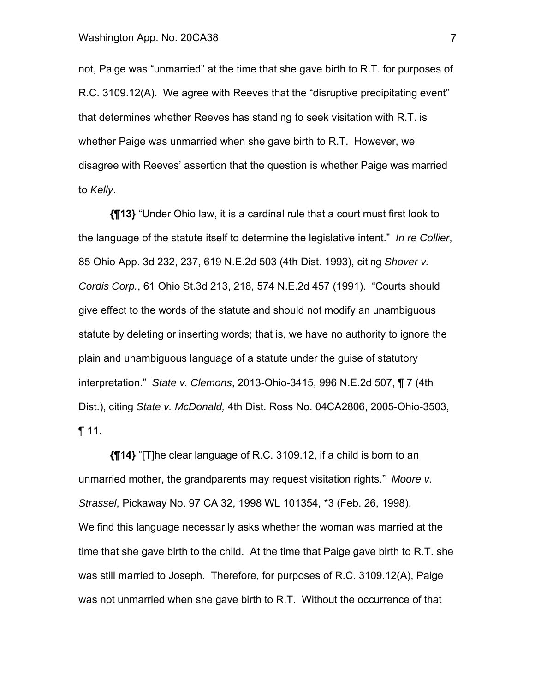not, Paige was "unmarried" at the time that she gave birth to R.T. for purposes of R.C. 3109.12(A). We agree with Reeves that the "disruptive precipitating event" that determines whether Reeves has standing to seek visitation with R.T. is whether Paige was unmarried when she gave birth to R.T. However, we disagree with Reeves' assertion that the question is whether Paige was married to *Kelly*.

**{¶13}** "Under Ohio law, it is a cardinal rule that a court must first look to the language of the statute itself to determine the legislative intent." *In re Collier*, 85 Ohio App. 3d 232, 237, 619 N.E.2d 503 (4th Dist. 1993), citing *Shover v. Cordis Corp.*, 61 Ohio St.3d 213, 218, 574 N.E.2d 457 (1991). "Courts should give effect to the words of the statute and should not modify an unambiguous statute by deleting or inserting words; that is, we have no authority to ignore the plain and unambiguous language of a statute under the guise of statutory interpretation." *State v. Clemons*, 2013-Ohio-3415, 996 N.E.2d 507, ¶ 7 (4th Dist.), citing *State v. McDonald,* 4th Dist. Ross No. 04CA2806, 2005-Ohio-3503, ¶ 11.

**{¶14}** "[T]he clear language of R.C. 3109.12, if a child is born to an unmarried mother, the grandparents may request visitation rights." *Moore v. Strassel*, Pickaway No. 97 CA 32, 1998 WL 101354, \*3 (Feb. 26, 1998). We find this language necessarily asks whether the woman was married at the time that she gave birth to the child. At the time that Paige gave birth to R.T. she was still married to Joseph. Therefore, for purposes of R.C. 3109.12(A), Paige was not unmarried when she gave birth to R.T. Without the occurrence of that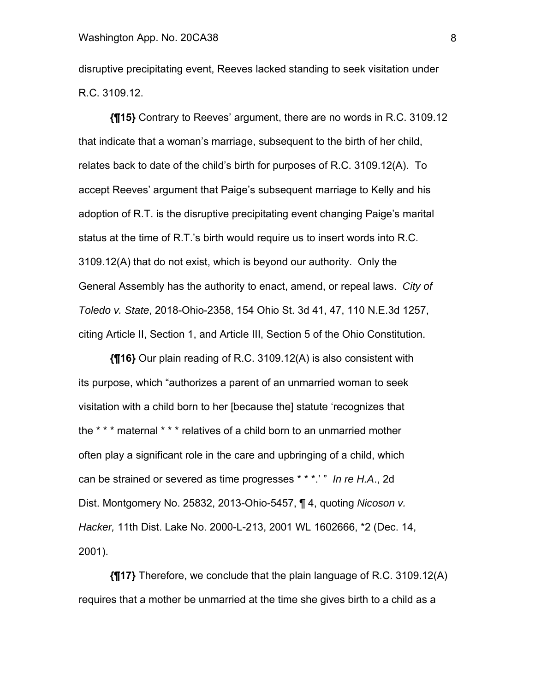disruptive precipitating event, Reeves lacked standing to seek visitation under R.C. 3109.12.

**{¶15}** Contrary to Reeves' argument, there are no words in R.C. 3109.12 that indicate that a woman's marriage, subsequent to the birth of her child, relates back to date of the child's birth for purposes of R.C. 3109.12(A). To accept Reeves' argument that Paige's subsequent marriage to Kelly and his adoption of R.T. is the disruptive precipitating event changing Paige's marital status at the time of R.T.'s birth would require us to insert words into R.C. 3109.12(A) that do not exist, which is beyond our authority. Only the General Assembly has the authority to enact, amend, or repeal laws. *City of Toledo v. State*, 2018-Ohio-2358, 154 Ohio St. 3d 41, 47, 110 N.E.3d 1257, citing Article II, Section 1, and Article III, Section 5 of the Ohio Constitution.

**{¶16}** Our plain reading of R.C. 3109.12(A) is also consistent with its purpose, which "authorizes a parent of an unmarried woman to seek visitation with a child born to her [because the] statute 'recognizes that the \* \* \* maternal \* \* \* relatives of a child born to an unmarried mother often play a significant role in the care and upbringing of a child, which can be strained or severed as time progresses \* \* \*.' " *In re H.A*., 2d Dist. Montgomery No. 25832, 2013-Ohio-5457, ¶ 4, quoting *Nicoson v. Hacker,* 11th Dist. Lake No. 2000-L-213, 2001 WL 1602666, \*2 (Dec. 14, 2001).

**{¶17}** Therefore, we conclude that the plain language of R.C. 3109.12(A) requires that a mother be unmarried at the time she gives birth to a child as a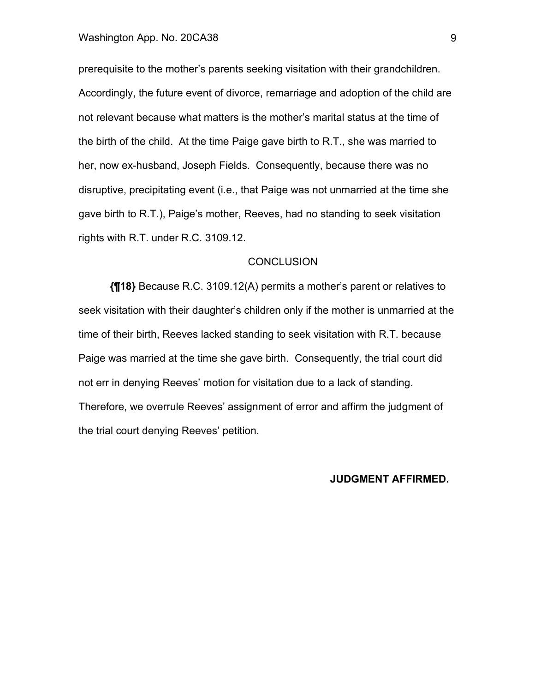prerequisite to the mother's parents seeking visitation with their grandchildren. Accordingly, the future event of divorce, remarriage and adoption of the child are not relevant because what matters is the mother's marital status at the time of the birth of the child. At the time Paige gave birth to R.T., she was married to her, now ex-husband, Joseph Fields. Consequently, because there was no disruptive, precipitating event (i.e., that Paige was not unmarried at the time she gave birth to R.T.), Paige's mother, Reeves, had no standing to seek visitation rights with R.T. under R.C. 3109.12.

### **CONCLUSION**

**{¶18}** Because R.C. 3109.12(A) permits a mother's parent or relatives to seek visitation with their daughter's children only if the mother is unmarried at the time of their birth, Reeves lacked standing to seek visitation with R.T. because Paige was married at the time she gave birth. Consequently, the trial court did not err in denying Reeves' motion for visitation due to a lack of standing. Therefore, we overrule Reeves' assignment of error and affirm the judgment of the trial court denying Reeves' petition.

### **JUDGMENT AFFIRMED.**